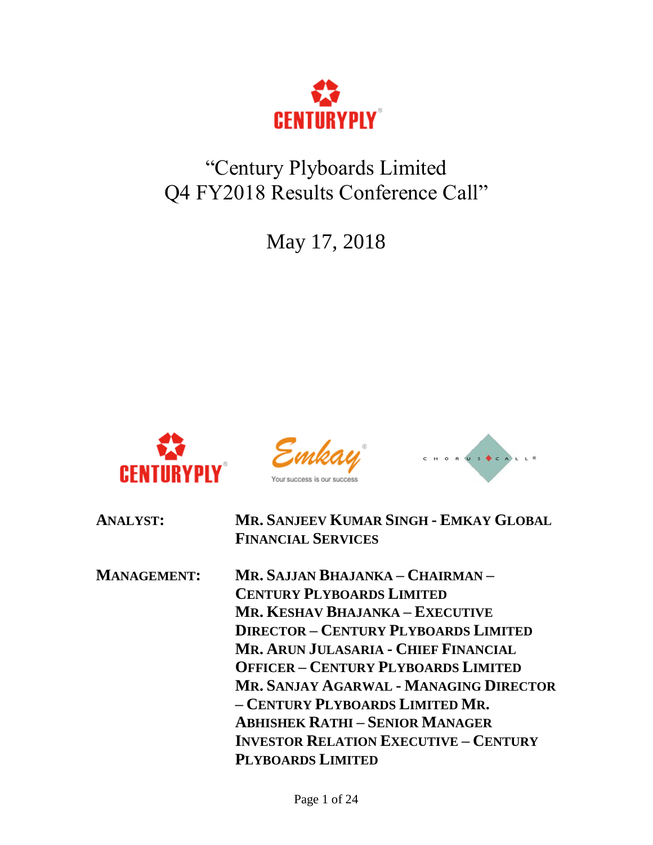

# "Century Plyboards Limited Q4 FY2018 Results Conference Call"

May 17, 2018







| <b>ANALYST:</b>    | MR. SANJEEV KUMAR SINGH - EMKAY GLOBAL<br><b>FINANCIAL SERVICES</b> |
|--------------------|---------------------------------------------------------------------|
| <b>MANAGEMENT:</b> | MR. SAJJAN BHAJANKA – CHAIRMAN –                                    |
|                    | <b>CENTURY PLYBOARDS LIMITED</b>                                    |
|                    | <b>MR. KESHAV BHAJANKA – EXECUTIVE</b>                              |
|                    | <b>DIRECTOR - CENTURY PLYBOARDS LIMITED</b>                         |
|                    | MR. ARUN JULASARIA - CHIEF FINANCIAL                                |
|                    | <b>OFFICER - CENTURY PLYBOARDS LIMITED</b>                          |
|                    | MR. SANJAY AGARWAL - MANAGING DIRECTOR                              |
|                    | - CENTURY PLYBOARDS LIMITED MR.                                     |
|                    | <b>ABHISHEK RATHI-SENIOR MANAGER</b>                                |
|                    | <b>INVESTOR RELATION EXECUTIVE - CENTURY</b>                        |
|                    | <b>PLYBOARDS LIMITED</b>                                            |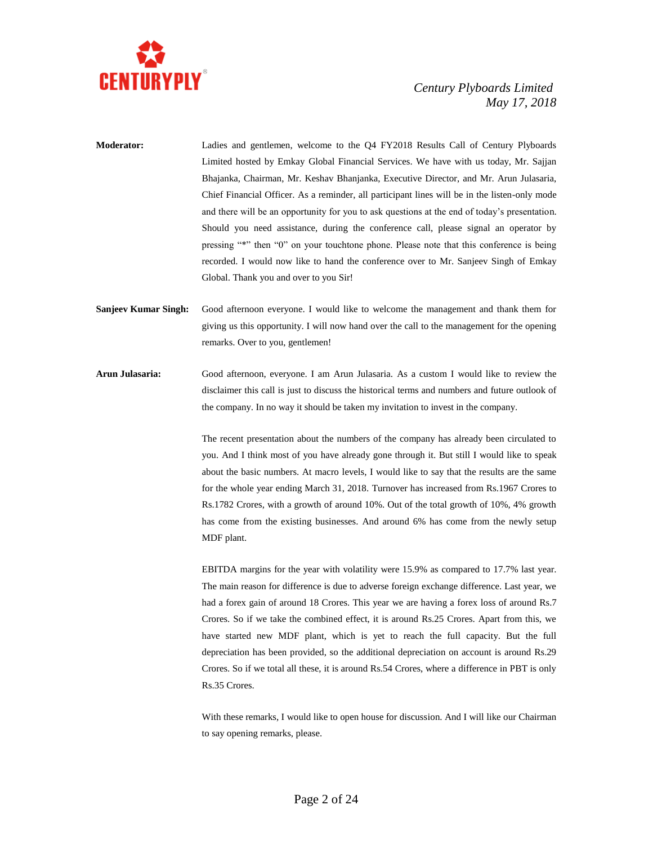

- **Moderator:** Ladies and gentlemen, welcome to the Q4 FY2018 Results Call of Century Plyboards Limited hosted by Emkay Global Financial Services. We have with us today, Mr. Sajjan Bhajanka, Chairman, Mr. Keshav Bhanjanka, Executive Director, and Mr. Arun Julasaria, Chief Financial Officer. As a reminder, all participant lines will be in the listen-only mode and there will be an opportunity for you to ask questions at the end of today's presentation. Should you need assistance, during the conference call, please signal an operator by pressing "\*" then "0" on your touchtone phone. Please note that this conference is being recorded. I would now like to hand the conference over to Mr. Sanjeev Singh of Emkay Global. Thank you and over to you Sir!
- **Sanjeev Kumar Singh:** Good afternoon everyone. I would like to welcome the management and thank them for giving us this opportunity. I will now hand over the call to the management for the opening remarks. Over to you, gentlemen!
- **Arun Julasaria:** Good afternoon, everyone. I am Arun Julasaria. As a custom I would like to review the disclaimer this call is just to discuss the historical terms and numbers and future outlook of the company. In no way it should be taken my invitation to invest in the company.

The recent presentation about the numbers of the company has already been circulated to you. And I think most of you have already gone through it. But still I would like to speak about the basic numbers. At macro levels, I would like to say that the results are the same for the whole year ending March 31, 2018. Turnover has increased from Rs.1967 Crores to Rs.1782 Crores, with a growth of around 10%. Out of the total growth of 10%, 4% growth has come from the existing businesses. And around 6% has come from the newly setup MDF plant.

EBITDA margins for the year with volatility were 15.9% as compared to 17.7% last year. The main reason for difference is due to adverse foreign exchange difference. Last year, we had a forex gain of around 18 Crores. This year we are having a forex loss of around Rs.7 Crores. So if we take the combined effect, it is around Rs.25 Crores. Apart from this, we have started new MDF plant, which is yet to reach the full capacity. But the full depreciation has been provided, so the additional depreciation on account is around Rs.29 Crores. So if we total all these, it is around Rs.54 Crores, where a difference in PBT is only Rs.35 Crores.

With these remarks, I would like to open house for discussion. And I will like our Chairman to say opening remarks, please.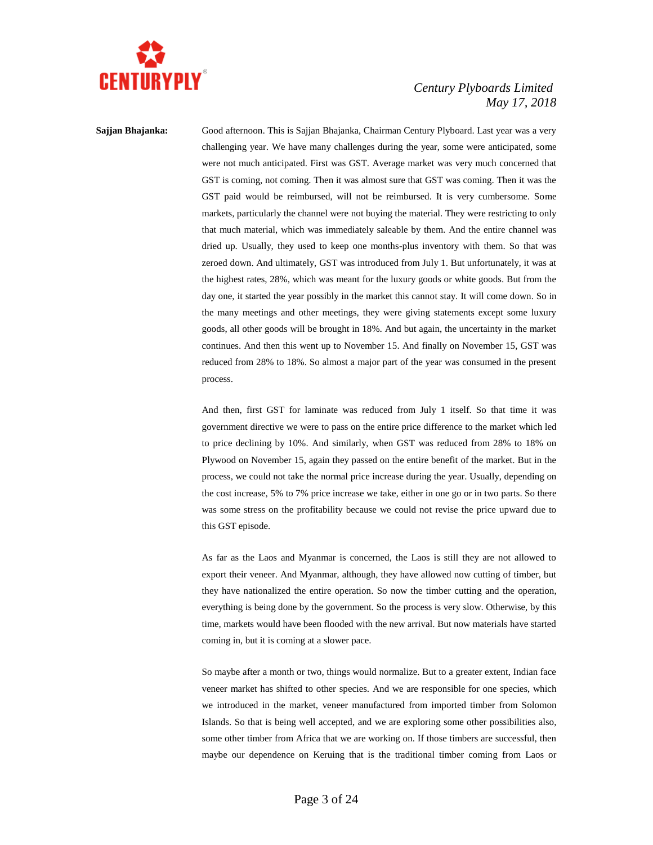

**Sajjan Bhajanka:** Good afternoon. This is Sajjan Bhajanka, Chairman Century Plyboard. Last year was a very challenging year. We have many challenges during the year, some were anticipated, some were not much anticipated. First was GST. Average market was very much concerned that GST is coming, not coming. Then it was almost sure that GST was coming. Then it was the GST paid would be reimbursed, will not be reimbursed. It is very cumbersome. Some markets, particularly the channel were not buying the material. They were restricting to only that much material, which was immediately saleable by them. And the entire channel was dried up. Usually, they used to keep one months-plus inventory with them. So that was zeroed down. And ultimately, GST was introduced from July 1. But unfortunately, it was at the highest rates, 28%, which was meant for the luxury goods or white goods. But from the day one, it started the year possibly in the market this cannot stay. It will come down. So in the many meetings and other meetings, they were giving statements except some luxury goods, all other goods will be brought in 18%. And but again, the uncertainty in the market continues. And then this went up to November 15. And finally on November 15, GST was reduced from 28% to 18%. So almost a major part of the year was consumed in the present process.

> And then, first GST for laminate was reduced from July 1 itself. So that time it was government directive we were to pass on the entire price difference to the market which led to price declining by 10%. And similarly, when GST was reduced from 28% to 18% on Plywood on November 15, again they passed on the entire benefit of the market. But in the process, we could not take the normal price increase during the year. Usually, depending on the cost increase, 5% to 7% price increase we take, either in one go or in two parts. So there was some stress on the profitability because we could not revise the price upward due to this GST episode.

> As far as the Laos and Myanmar is concerned, the Laos is still they are not allowed to export their veneer. And Myanmar, although, they have allowed now cutting of timber, but they have nationalized the entire operation. So now the timber cutting and the operation, everything is being done by the government. So the process is very slow. Otherwise, by this time, markets would have been flooded with the new arrival. But now materials have started coming in, but it is coming at a slower pace.

> So maybe after a month or two, things would normalize. But to a greater extent, Indian face veneer market has shifted to other species. And we are responsible for one species, which we introduced in the market, veneer manufactured from imported timber from Solomon Islands. So that is being well accepted, and we are exploring some other possibilities also, some other timber from Africa that we are working on. If those timbers are successful, then maybe our dependence on Keruing that is the traditional timber coming from Laos or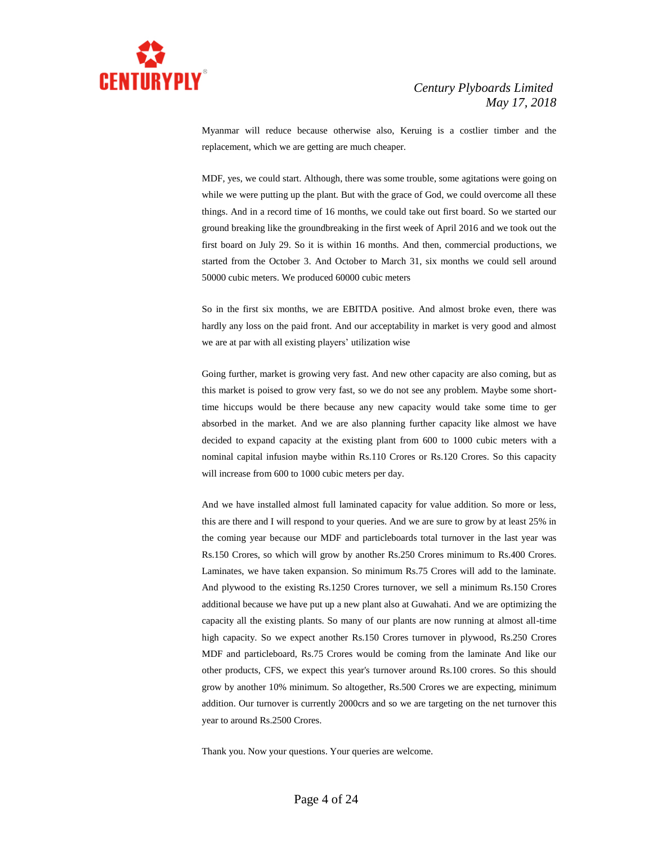

Myanmar will reduce because otherwise also, Keruing is a costlier timber and the replacement, which we are getting are much cheaper.

MDF, yes, we could start. Although, there was some trouble, some agitations were going on while we were putting up the plant. But with the grace of God, we could overcome all these things. And in a record time of 16 months, we could take out first board. So we started our ground breaking like the groundbreaking in the first week of April 2016 and we took out the first board on July 29. So it is within 16 months. And then, commercial productions, we started from the October 3. And October to March 31, six months we could sell around 50000 cubic meters. We produced 60000 cubic meters

So in the first six months, we are EBITDA positive. And almost broke even, there was hardly any loss on the paid front. And our acceptability in market is very good and almost we are at par with all existing players' utilization wise

Going further, market is growing very fast. And new other capacity are also coming, but as this market is poised to grow very fast, so we do not see any problem. Maybe some shorttime hiccups would be there because any new capacity would take some time to ger absorbed in the market. And we are also planning further capacity like almost we have decided to expand capacity at the existing plant from 600 to 1000 cubic meters with a nominal capital infusion maybe within Rs.110 Crores or Rs.120 Crores. So this capacity will increase from 600 to 1000 cubic meters per day.

And we have installed almost full laminated capacity for value addition. So more or less, this are there and I will respond to your queries. And we are sure to grow by at least 25% in the coming year because our MDF and particleboards total turnover in the last year was Rs.150 Crores, so which will grow by another Rs.250 Crores minimum to Rs.400 Crores. Laminates, we have taken expansion. So minimum Rs.75 Crores will add to the laminate. And plywood to the existing Rs.1250 Crores turnover, we sell a minimum Rs.150 Crores additional because we have put up a new plant also at Guwahati. And we are optimizing the capacity all the existing plants. So many of our plants are now running at almost all-time high capacity. So we expect another Rs.150 Crores turnover in plywood, Rs.250 Crores MDF and particleboard, Rs.75 Crores would be coming from the laminate And like our other products, CFS, we expect this year's turnover around Rs.100 crores. So this should grow by another 10% minimum. So altogether, Rs.500 Crores we are expecting, minimum addition. Our turnover is currently 2000crs and so we are targeting on the net turnover this year to around Rs.2500 Crores.

Thank you. Now your questions. Your queries are welcome.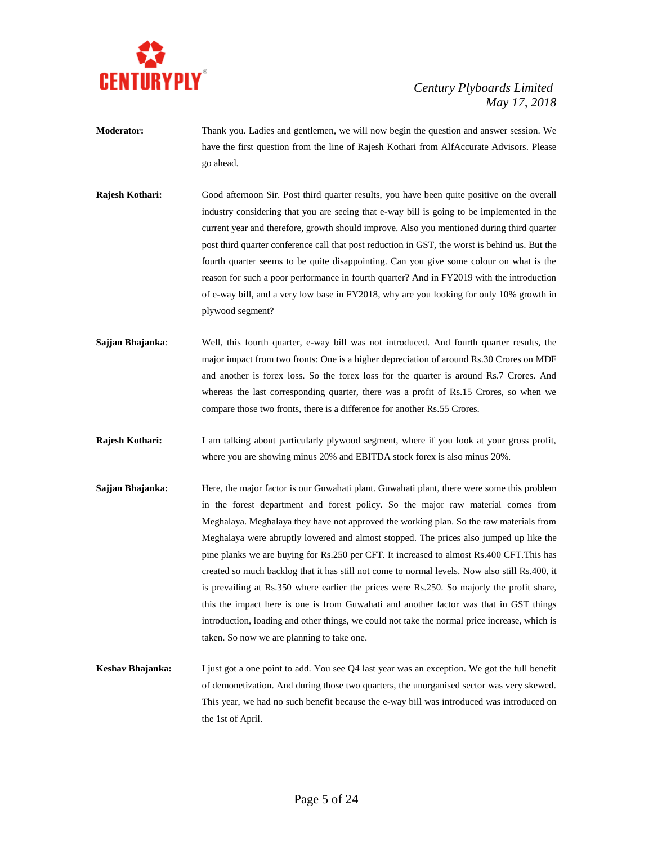

- **Moderator:** Thank you. Ladies and gentlemen, we will now begin the question and answer session. We have the first question from the line of Rajesh Kothari from AlfAccurate Advisors. Please go ahead.
- **Rajesh Kothari:** Good afternoon Sir. Post third quarter results, you have been quite positive on the overall industry considering that you are seeing that e-way bill is going to be implemented in the current year and therefore, growth should improve. Also you mentioned during third quarter post third quarter conference call that post reduction in GST, the worst is behind us. But the fourth quarter seems to be quite disappointing. Can you give some colour on what is the reason for such a poor performance in fourth quarter? And in FY2019 with the introduction of e-way bill, and a very low base in FY2018, why are you looking for only 10% growth in plywood segment?
- **Sajjan Bhajanka**: Well, this fourth quarter, e-way bill was not introduced. And fourth quarter results, the major impact from two fronts: One is a higher depreciation of around Rs.30 Crores on MDF and another is forex loss. So the forex loss for the quarter is around Rs.7 Crores. And whereas the last corresponding quarter, there was a profit of Rs.15 Crores, so when we compare those two fronts, there is a difference for another Rs.55 Crores.
- **Rajesh Kothari:** I am talking about particularly plywood segment, where if you look at your gross profit, where you are showing minus 20% and EBITDA stock forex is also minus 20%.
- **Sajjan Bhajanka:** Here, the major factor is our Guwahati plant. Guwahati plant, there were some this problem in the forest department and forest policy. So the major raw material comes from Meghalaya. Meghalaya they have not approved the working plan. So the raw materials from Meghalaya were abruptly lowered and almost stopped. The prices also jumped up like the pine planks we are buying for Rs.250 per CFT. It increased to almost Rs.400 CFT.This has created so much backlog that it has still not come to normal levels. Now also still Rs.400, it is prevailing at Rs.350 where earlier the prices were Rs.250. So majorly the profit share, this the impact here is one is from Guwahati and another factor was that in GST things introduction, loading and other things, we could not take the normal price increase, which is taken. So now we are planning to take one.
- **Keshav Bhajanka:** I just got a one point to add. You see Q4 last year was an exception. We got the full benefit of demonetization. And during those two quarters, the unorganised sector was very skewed. This year, we had no such benefit because the e-way bill was introduced was introduced on the 1st of April.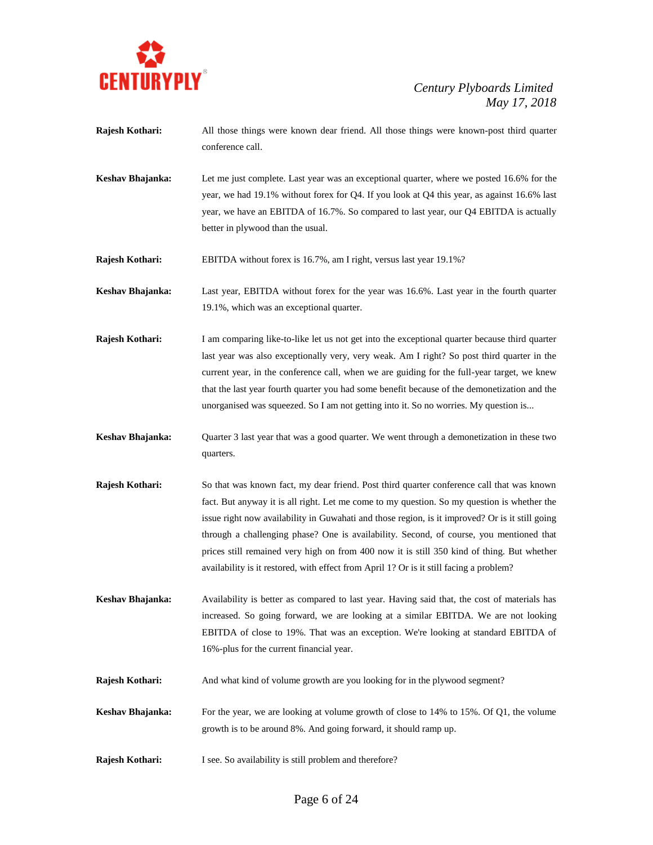

- **Rajesh Kothari:** All those things were known dear friend. All those things were known-post third quarter conference call.
- **Keshav Bhajanka:** Let me just complete. Last year was an exceptional quarter, where we posted 16.6% for the year, we had 19.1% without forex for Q4. If you look at Q4 this year, as against 16.6% last year, we have an EBITDA of 16.7%. So compared to last year, our Q4 EBITDA is actually better in plywood than the usual.

**Rajesh Kothari:** EBITDA without forex is 16.7%, am I right, versus last year 19.1%?

**Keshav Bhajanka:** Last year, EBITDA without forex for the year was 16.6%. Last year in the fourth quarter 19.1%, which was an exceptional quarter.

- **Rajesh Kothari:** I am comparing like-to-like let us not get into the exceptional quarter because third quarter last year was also exceptionally very, very weak. Am I right? So post third quarter in the current year, in the conference call, when we are guiding for the full-year target, we knew that the last year fourth quarter you had some benefit because of the demonetization and the unorganised was squeezed. So I am not getting into it. So no worries. My question is...
- **Keshav Bhajanka:** Quarter 3 last year that was a good quarter. We went through a demonetization in these two quarters.
- **Rajesh Kothari:** So that was known fact, my dear friend. Post third quarter conference call that was known fact. But anyway it is all right. Let me come to my question. So my question is whether the issue right now availability in Guwahati and those region, is it improved? Or is it still going through a challenging phase? One is availability. Second, of course, you mentioned that prices still remained very high on from 400 now it is still 350 kind of thing. But whether availability is it restored, with effect from April 1? Or is it still facing a problem?
- **Keshav Bhajanka:** Availability is better as compared to last year. Having said that, the cost of materials has increased. So going forward, we are looking at a similar EBITDA. We are not looking EBITDA of close to 19%. That was an exception. We're looking at standard EBITDA of 16%-plus for the current financial year.
- **Rajesh Kothari:** And what kind of volume growth are you looking for in the plywood segment?
- **Keshav Bhajanka:** For the year, we are looking at volume growth of close to 14% to 15%. Of Q1, the volume growth is to be around 8%. And going forward, it should ramp up.
- **Rajesh Kothari:** I see. So availability is still problem and therefore?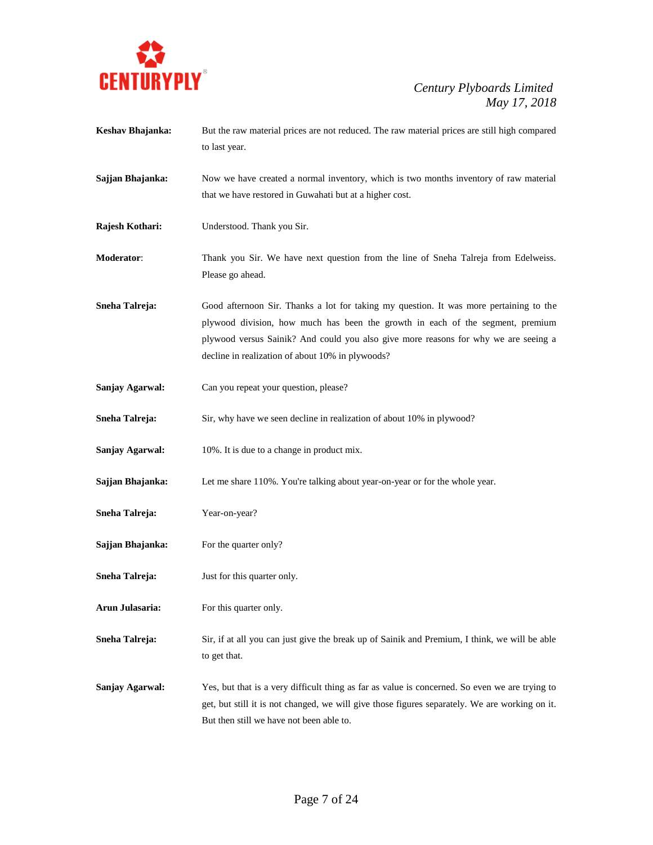

| Keshav Bhajanka:      | But the raw material prices are not reduced. The raw material prices are still high compared<br>to last year.                                                                                                                                                                                                       |
|-----------------------|---------------------------------------------------------------------------------------------------------------------------------------------------------------------------------------------------------------------------------------------------------------------------------------------------------------------|
| Sajjan Bhajanka:      | Now we have created a normal inventory, which is two months inventory of raw material<br>that we have restored in Guwahati but at a higher cost.                                                                                                                                                                    |
| Rajesh Kothari:       | Understood. Thank you Sir.                                                                                                                                                                                                                                                                                          |
| Moderator:            | Thank you Sir. We have next question from the line of Sneha Talreja from Edelweiss.<br>Please go ahead.                                                                                                                                                                                                             |
| <b>Sneha Talreja:</b> | Good afternoon Sir. Thanks a lot for taking my question. It was more pertaining to the<br>plywood division, how much has been the growth in each of the segment, premium<br>plywood versus Sainik? And could you also give more reasons for why we are seeing a<br>decline in realization of about 10% in plywoods? |
| Sanjay Agarwal:       | Can you repeat your question, please?                                                                                                                                                                                                                                                                               |
| Sneha Talreja:        | Sir, why have we seen decline in realization of about 10% in plywood?                                                                                                                                                                                                                                               |
| Sanjay Agarwal:       | 10%. It is due to a change in product mix.                                                                                                                                                                                                                                                                          |
| Sajjan Bhajanka:      | Let me share 110%. You're talking about year-on-year or for the whole year.                                                                                                                                                                                                                                         |
| Sneha Talreja:        | Year-on-year?                                                                                                                                                                                                                                                                                                       |
| Sajjan Bhajanka:      | For the quarter only?                                                                                                                                                                                                                                                                                               |
| Sneha Talreja:        | Just for this quarter only.                                                                                                                                                                                                                                                                                         |
| Arun Julasaria:       | For this quarter only.                                                                                                                                                                                                                                                                                              |
| Sneha Talreja:        | Sir, if at all you can just give the break up of Sainik and Premium, I think, we will be able<br>to get that.                                                                                                                                                                                                       |
| Sanjay Agarwal:       | Yes, but that is a very difficult thing as far as value is concerned. So even we are trying to<br>get, but still it is not changed, we will give those figures separately. We are working on it.<br>But then still we have not been able to.                                                                        |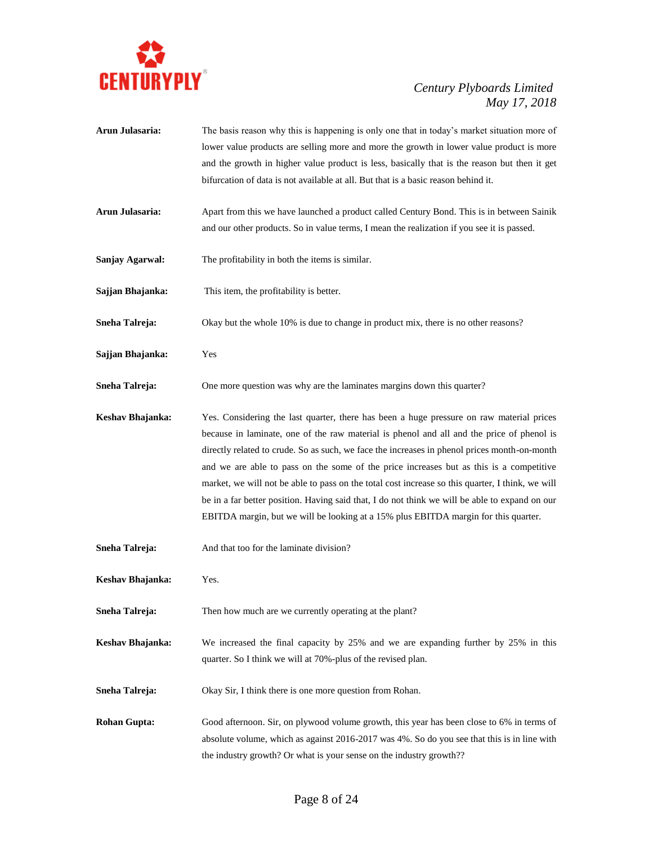

- **Arun Julasaria:** The basis reason why this is happening is only one that in today's market situation more of lower value products are selling more and more the growth in lower value product is more and the growth in higher value product is less, basically that is the reason but then it get bifurcation of data is not available at all. But that is a basic reason behind it.
- **Arun Julasaria:** Apart from this we have launched a product called Century Bond. This is in between Sainik and our other products. So in value terms, I mean the realization if you see it is passed.
- **Sanjay Agarwal:** The profitability in both the items is similar.
- **Sajjan Bhajanka:** This item, the profitability is better.
- **Sneha Talreja:** Okay but the whole 10% is due to change in product mix, there is no other reasons?
- **Sajjan Bhajanka:** Yes
- **Sneha Talreja:** One more question was why are the laminates margins down this quarter?
- **Keshav Bhajanka:** Yes. Considering the last quarter, there has been a huge pressure on raw material prices because in laminate, one of the raw material is phenol and all and the price of phenol is directly related to crude. So as such, we face the increases in phenol prices month-on-month and we are able to pass on the some of the price increases but as this is a competitive market, we will not be able to pass on the total cost increase so this quarter, I think, we will be in a far better position. Having said that, I do not think we will be able to expand on our EBITDA margin, but we will be looking at a 15% plus EBITDA margin for this quarter.
- **Sneha Talreja:** And that too for the laminate division?
- **Keshav Bhajanka:** Yes.
- **Sneha Talreja:** Then how much are we currently operating at the plant?
- **Keshav Bhajanka:** We increased the final capacity by 25% and we are expanding further by 25% in this quarter. So I think we will at 70%-plus of the revised plan.
- **Sneha Talreja:** Okay Sir, I think there is one more question from Rohan.
- **Rohan Gupta:** Good afternoon. Sir, on plywood volume growth, this year has been close to 6% in terms of absolute volume, which as against 2016-2017 was 4%. So do you see that this is in line with the industry growth? Or what is your sense on the industry growth??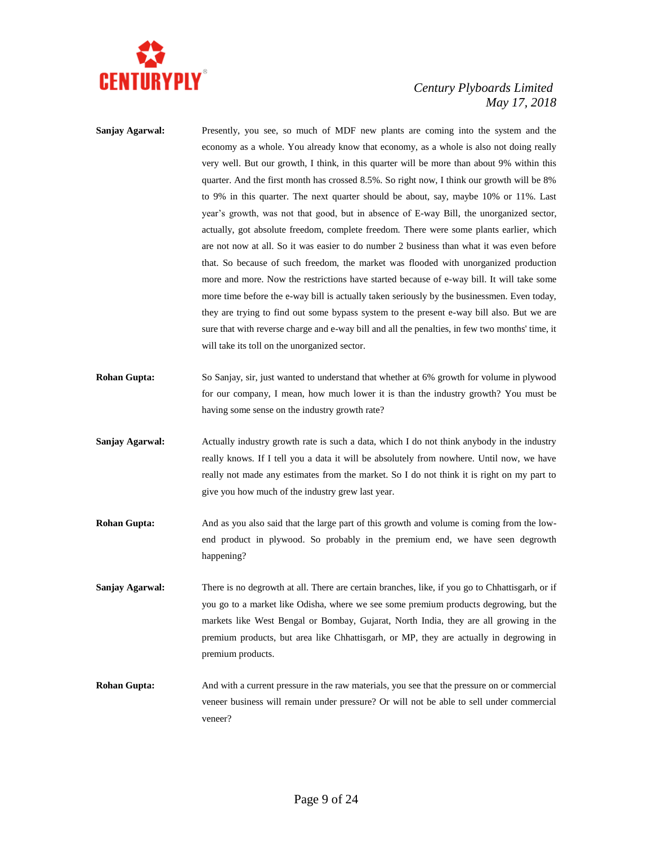

- **Sanjay Agarwal:** Presently, you see, so much of MDF new plants are coming into the system and the economy as a whole. You already know that economy, as a whole is also not doing really very well. But our growth, I think, in this quarter will be more than about 9% within this quarter. And the first month has crossed 8.5%. So right now, I think our growth will be 8% to 9% in this quarter. The next quarter should be about, say, maybe 10% or 11%. Last year's growth, was not that good, but in absence of E-way Bill, the unorganized sector, actually, got absolute freedom, complete freedom. There were some plants earlier, which are not now at all. So it was easier to do number 2 business than what it was even before that. So because of such freedom, the market was flooded with unorganized production more and more. Now the restrictions have started because of e-way bill. It will take some more time before the e-way bill is actually taken seriously by the businessmen. Even today, they are trying to find out some bypass system to the present e-way bill also. But we are sure that with reverse charge and e-way bill and all the penalties, in few two months' time, it will take its toll on the unorganized sector.
- **Rohan Gupta:** So Sanjay, sir, just wanted to understand that whether at 6% growth for volume in plywood for our company, I mean, how much lower it is than the industry growth? You must be having some sense on the industry growth rate?
- **Sanjay Agarwal:** Actually industry growth rate is such a data, which I do not think anybody in the industry really knows. If I tell you a data it will be absolutely from nowhere. Until now, we have really not made any estimates from the market. So I do not think it is right on my part to give you how much of the industry grew last year.
- **Rohan Gupta:** And as you also said that the large part of this growth and volume is coming from the lowend product in plywood. So probably in the premium end, we have seen degrowth happening?
- **Sanjay Agarwal:** There is no degrowth at all. There are certain branches, like, if you go to Chhattisgarh, or if you go to a market like Odisha, where we see some premium products degrowing, but the markets like West Bengal or Bombay, Gujarat, North India, they are all growing in the premium products, but area like Chhattisgarh, or MP, they are actually in degrowing in premium products.
- **Rohan Gupta:** And with a current pressure in the raw materials, you see that the pressure on or commercial veneer business will remain under pressure? Or will not be able to sell under commercial veneer?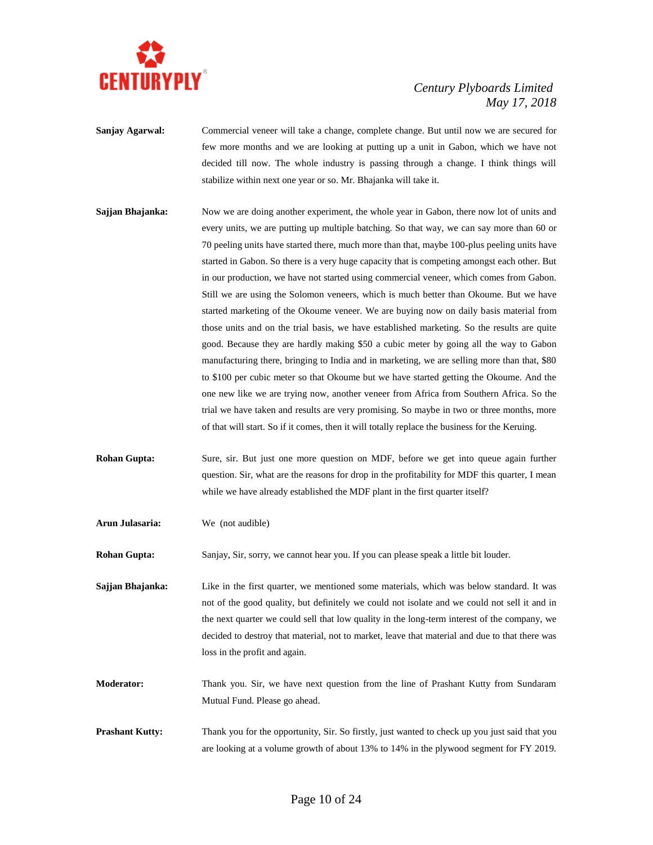

- **Sanjay Agarwal:** Commercial veneer will take a change, complete change. But until now we are secured for few more months and we are looking at putting up a unit in Gabon, which we have not decided till now. The whole industry is passing through a change. I think things will stabilize within next one year or so. Mr. Bhajanka will take it.
- **Sajjan Bhajanka:** Now we are doing another experiment, the whole year in Gabon, there now lot of units and every units, we are putting up multiple batching. So that way, we can say more than 60 or 70 peeling units have started there, much more than that, maybe 100-plus peeling units have started in Gabon. So there is a very huge capacity that is competing amongst each other. But in our production, we have not started using commercial veneer, which comes from Gabon. Still we are using the Solomon veneers, which is much better than Okoume. But we have started marketing of the Okoume veneer. We are buying now on daily basis material from those units and on the trial basis, we have established marketing. So the results are quite good. Because they are hardly making \$50 a cubic meter by going all the way to Gabon manufacturing there, bringing to India and in marketing, we are selling more than that, \$80 to \$100 per cubic meter so that Okoume but we have started getting the Okoume. And the one new like we are trying now, another veneer from Africa from Southern Africa. So the trial we have taken and results are very promising. So maybe in two or three months, more of that will start. So if it comes, then it will totally replace the business for the Keruing.
- **Rohan Gupta:** Sure, sir. But just one more question on MDF, before we get into queue again further question. Sir, what are the reasons for drop in the profitability for MDF this quarter, I mean while we have already established the MDF plant in the first quarter itself?
- **Arun Julasaria:** We (not audible)

**Rohan Gupta:** Sanjay, Sir, sorry, we cannot hear you. If you can please speak a little bit louder.

**Sajjan Bhajanka:** Like in the first quarter, we mentioned some materials, which was below standard. It was not of the good quality, but definitely we could not isolate and we could not sell it and in the next quarter we could sell that low quality in the long-term interest of the company, we decided to destroy that material, not to market, leave that material and due to that there was loss in the profit and again.

- **Moderator:** Thank you. Sir, we have next question from the line of Prashant Kutty from Sundaram Mutual Fund. Please go ahead.
- **Prashant Kutty:** Thank you for the opportunity, Sir. So firstly, just wanted to check up you just said that you are looking at a volume growth of about 13% to 14% in the plywood segment for FY 2019.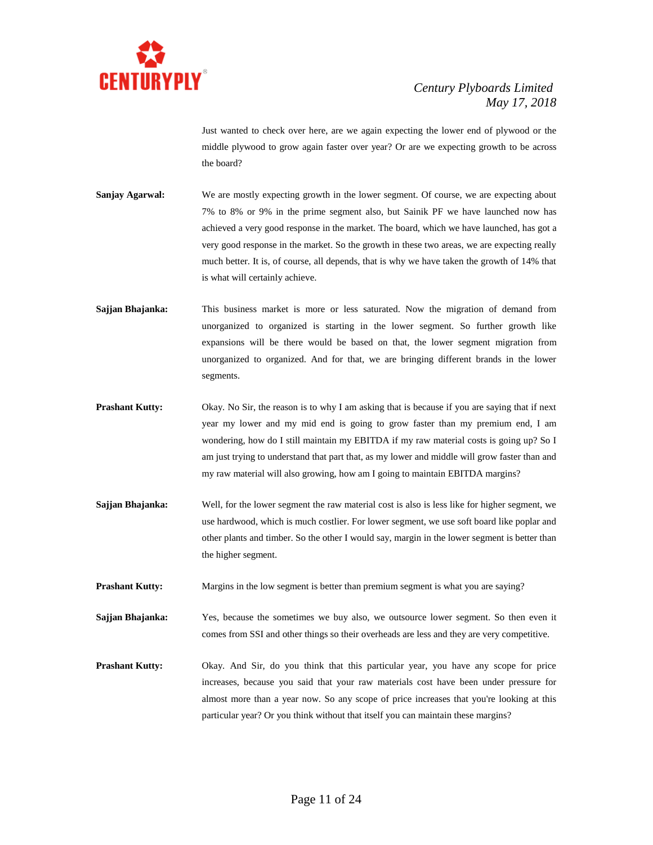

Just wanted to check over here, are we again expecting the lower end of plywood or the middle plywood to grow again faster over year? Or are we expecting growth to be across the board?

- **Sanjay Agarwal:** We are mostly expecting growth in the lower segment. Of course, we are expecting about 7% to 8% or 9% in the prime segment also, but Sainik PF we have launched now has achieved a very good response in the market. The board, which we have launched, has got a very good response in the market. So the growth in these two areas, we are expecting really much better. It is, of course, all depends, that is why we have taken the growth of 14% that is what will certainly achieve.
- **Sajjan Bhajanka:** This business market is more or less saturated. Now the migration of demand from unorganized to organized is starting in the lower segment. So further growth like expansions will be there would be based on that, the lower segment migration from unorganized to organized. And for that, we are bringing different brands in the lower segments.
- **Prashant Kutty:** Okay. No Sir, the reason is to why I am asking that is because if you are saying that if next year my lower and my mid end is going to grow faster than my premium end, I am wondering, how do I still maintain my EBITDA if my raw material costs is going up? So I am just trying to understand that part that, as my lower and middle will grow faster than and my raw material will also growing, how am I going to maintain EBITDA margins?
- **Sajjan Bhajanka:** Well, for the lower segment the raw material cost is also is less like for higher segment, we use hardwood, which is much costlier. For lower segment, we use soft board like poplar and other plants and timber. So the other I would say, margin in the lower segment is better than the higher segment.
- **Prashant Kutty:** Margins in the low segment is better than premium segment is what you are saying?
- **Sajjan Bhajanka:** Yes, because the sometimes we buy also, we outsource lower segment. So then even it comes from SSI and other things so their overheads are less and they are very competitive.
- **Prashant Kutty:** Okay. And Sir, do you think that this particular year, you have any scope for price increases, because you said that your raw materials cost have been under pressure for almost more than a year now. So any scope of price increases that you're looking at this particular year? Or you think without that itself you can maintain these margins?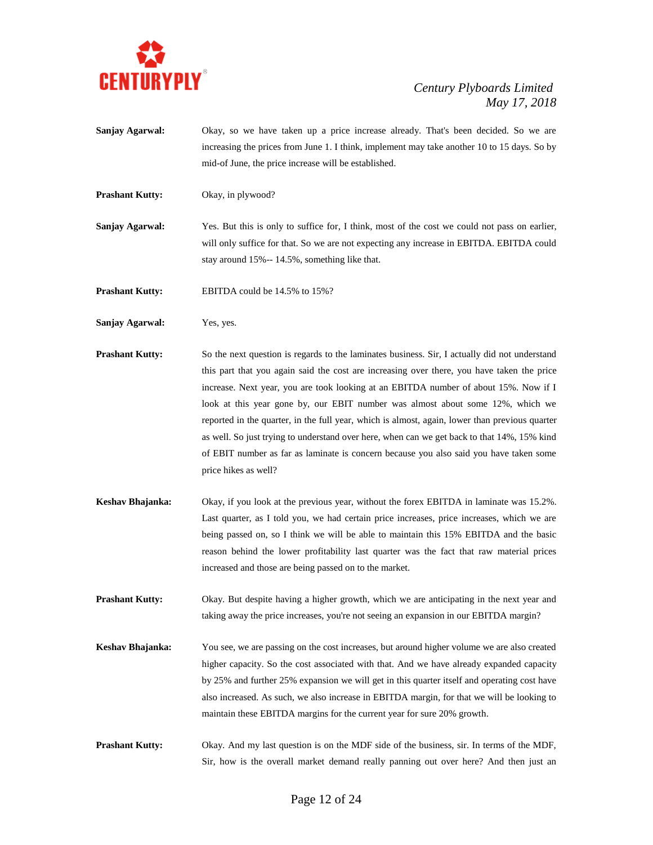

- **Sanjay Agarwal:** Okay, so we have taken up a price increase already. That's been decided. So we are increasing the prices from June 1. I think, implement may take another 10 to 15 days. So by mid-of June, the price increase will be established.
- **Prashant Kutty:** Okay, in plywood?

**Sanjay Agarwal:** Yes. But this is only to suffice for, I think, most of the cost we could not pass on earlier, will only suffice for that. So we are not expecting any increase in EBITDA. EBITDA could stay around 15%-- 14.5%, something like that.

**Prashant Kutty:** EBITDA could be 14.5% to 15%?

- **Sanjay Agarwal:** Yes, yes.
- **Prashant Kutty:** So the next question is regards to the laminates business. Sir, I actually did not understand this part that you again said the cost are increasing over there, you have taken the price increase. Next year, you are took looking at an EBITDA number of about 15%. Now if I look at this year gone by, our EBIT number was almost about some 12%, which we reported in the quarter, in the full year, which is almost, again, lower than previous quarter as well. So just trying to understand over here, when can we get back to that 14%, 15% kind of EBIT number as far as laminate is concern because you also said you have taken some price hikes as well?
- **Keshav Bhajanka:** Okay, if you look at the previous year, without the forex EBITDA in laminate was 15.2%. Last quarter, as I told you, we had certain price increases, price increases, which we are being passed on, so I think we will be able to maintain this 15% EBITDA and the basic reason behind the lower profitability last quarter was the fact that raw material prices increased and those are being passed on to the market.
- **Prashant Kutty:** Okay. But despite having a higher growth, which we are anticipating in the next year and taking away the price increases, you're not seeing an expansion in our EBITDA margin?
- **Keshav Bhajanka:** You see, we are passing on the cost increases, but around higher volume we are also created higher capacity. So the cost associated with that. And we have already expanded capacity by 25% and further 25% expansion we will get in this quarter itself and operating cost have also increased. As such, we also increase in EBITDA margin, for that we will be looking to maintain these EBITDA margins for the current year for sure 20% growth.
- **Prashant Kutty:** Okay. And my last question is on the MDF side of the business, sir. In terms of the MDF, Sir, how is the overall market demand really panning out over here? And then just an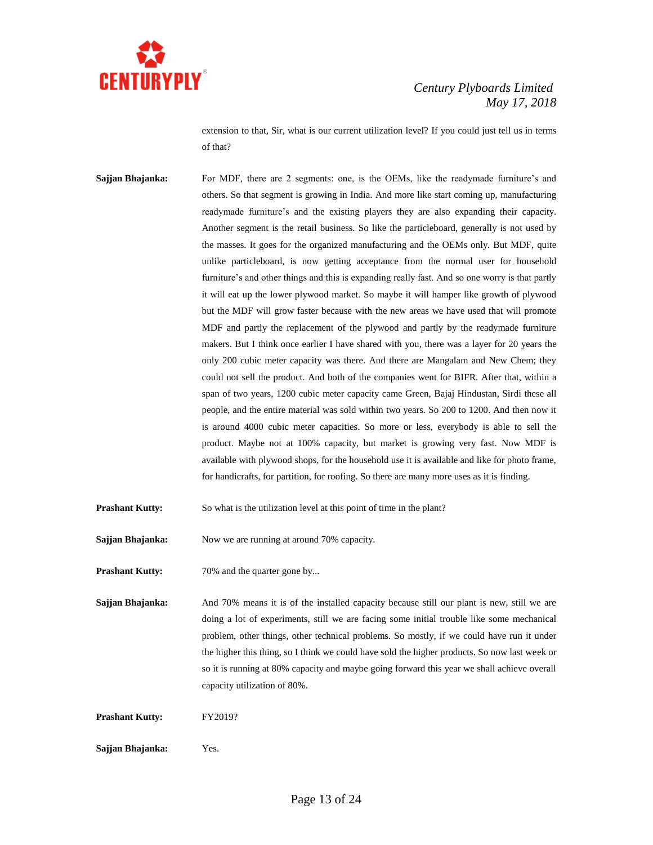

extension to that, Sir, what is our current utilization level? If you could just tell us in terms of that?

**Sajjan Bhajanka:** For MDF, there are 2 segments: one, is the OEMs, like the readymade furniture's and others. So that segment is growing in India. And more like start coming up, manufacturing readymade furniture's and the existing players they are also expanding their capacity. Another segment is the retail business. So like the particleboard, generally is not used by the masses. It goes for the organized manufacturing and the OEMs only. But MDF, quite unlike particleboard, is now getting acceptance from the normal user for household furniture's and other things and this is expanding really fast. And so one worry is that partly it will eat up the lower plywood market. So maybe it will hamper like growth of plywood but the MDF will grow faster because with the new areas we have used that will promote MDF and partly the replacement of the plywood and partly by the readymade furniture makers. But I think once earlier I have shared with you, there was a layer for 20 years the only 200 cubic meter capacity was there. And there are Mangalam and New Chem; they could not sell the product. And both of the companies went for BIFR. After that, within a span of two years, 1200 cubic meter capacity came Green, Bajaj Hindustan, Sirdi these all people, and the entire material was sold within two years. So 200 to 1200. And then now it is around 4000 cubic meter capacities. So more or less, everybody is able to sell the product. Maybe not at 100% capacity, but market is growing very fast. Now MDF is available with plywood shops, for the household use it is available and like for photo frame, for handicrafts, for partition, for roofing. So there are many more uses as it is finding.

**Prashant Kutty:** So what is the utilization level at this point of time in the plant?

**Sajjan Bhajanka:** Now we are running at around 70% capacity.

**Prashant Kutty:** 70% and the quarter gone by...

**Sajjan Bhajanka:** And 70% means it is of the installed capacity because still our plant is new, still we are doing a lot of experiments, still we are facing some initial trouble like some mechanical problem, other things, other technical problems. So mostly, if we could have run it under the higher this thing, so I think we could have sold the higher products. So now last week or so it is running at 80% capacity and maybe going forward this year we shall achieve overall capacity utilization of 80%.

**Prashant Kutty:** FY2019?

**Sajjan Bhajanka:** Yes.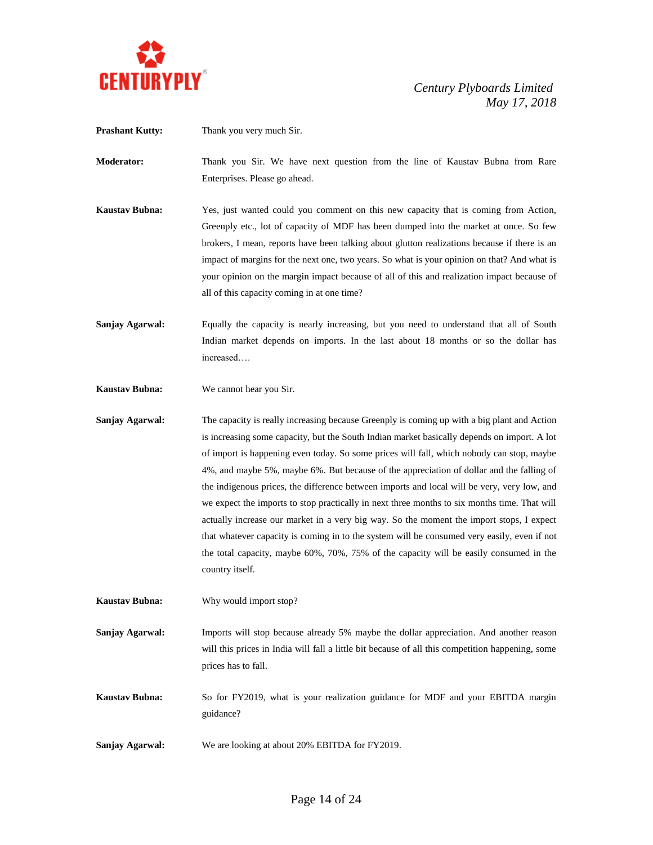

**Prashant Kutty:** Thank you very much Sir.

**Moderator:** Thank you Sir. We have next question from the line of Kaustav Bubna from Rare Enterprises. Please go ahead.

- **Kaustav Bubna:** Yes, just wanted could you comment on this new capacity that is coming from Action, Greenply etc., lot of capacity of MDF has been dumped into the market at once. So few brokers, I mean, reports have been talking about glutton realizations because if there is an impact of margins for the next one, two years. So what is your opinion on that? And what is your opinion on the margin impact because of all of this and realization impact because of all of this capacity coming in at one time?
- **Sanjay Agarwal:** Equally the capacity is nearly increasing, but you need to understand that all of South Indian market depends on imports. In the last about 18 months or so the dollar has increased….
- **Kaustav Bubna:** We cannot hear you Sir.
- **Sanjay Agarwal:** The capacity is really increasing because Greenply is coming up with a big plant and Action is increasing some capacity, but the South Indian market basically depends on import. A lot of import is happening even today. So some prices will fall, which nobody can stop, maybe 4%, and maybe 5%, maybe 6%. But because of the appreciation of dollar and the falling of the indigenous prices, the difference between imports and local will be very, very low, and we expect the imports to stop practically in next three months to six months time. That will actually increase our market in a very big way. So the moment the import stops, I expect that whatever capacity is coming in to the system will be consumed very easily, even if not the total capacity, maybe 60%, 70%, 75% of the capacity will be easily consumed in the country itself.
- **Kaustav Bubna:** Why would import stop?

**Sanjay Agarwal:** Imports will stop because already 5% maybe the dollar appreciation. And another reason will this prices in India will fall a little bit because of all this competition happening, some prices has to fall.

**Kaustav Bubna:** So for FY2019, what is your realization guidance for MDF and your EBITDA margin guidance?

**Sanjay Agarwal:** We are looking at about 20% EBITDA for FY2019.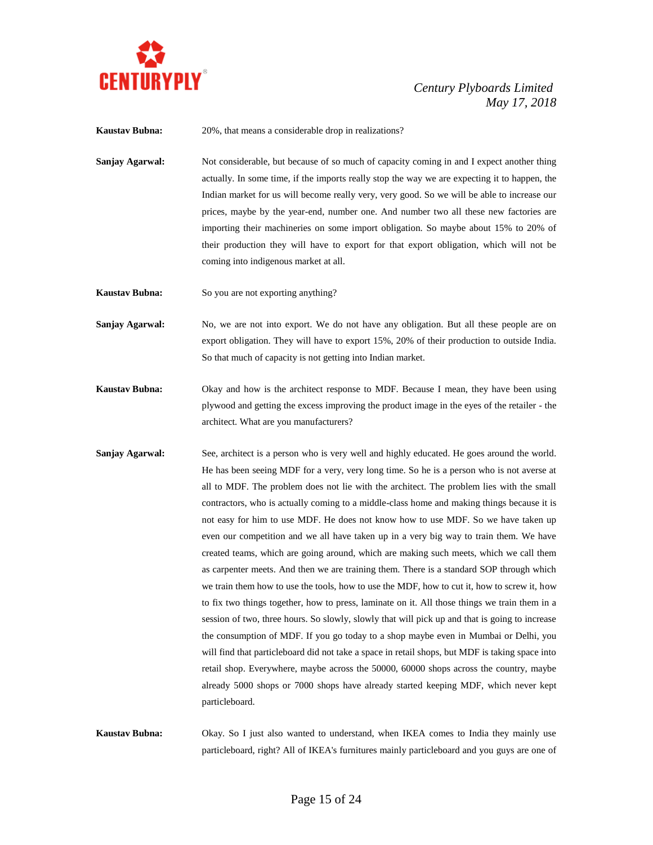

**Kaustav Bubna:** 20%, that means a considerable drop in realizations?

**Sanjay Agarwal:** Not considerable, but because of so much of capacity coming in and I expect another thing actually. In some time, if the imports really stop the way we are expecting it to happen, the Indian market for us will become really very, very good. So we will be able to increase our prices, maybe by the year-end, number one. And number two all these new factories are importing their machineries on some import obligation. So maybe about 15% to 20% of their production they will have to export for that export obligation, which will not be coming into indigenous market at all.

**Kaustav Bubna:** So you are not exporting anything?

**Sanjay Agarwal:** No, we are not into export. We do not have any obligation. But all these people are on export obligation. They will have to export 15%, 20% of their production to outside India. So that much of capacity is not getting into Indian market.

**Kaustav Bubna:** Okay and how is the architect response to MDF. Because I mean, they have been using plywood and getting the excess improving the product image in the eyes of the retailer - the architect. What are you manufacturers?

**Sanjay Agarwal:** See, architect is a person who is very well and highly educated. He goes around the world. He has been seeing MDF for a very, very long time. So he is a person who is not averse at all to MDF. The problem does not lie with the architect. The problem lies with the small contractors, who is actually coming to a middle-class home and making things because it is not easy for him to use MDF. He does not know how to use MDF. So we have taken up even our competition and we all have taken up in a very big way to train them. We have created teams, which are going around, which are making such meets, which we call them as carpenter meets. And then we are training them. There is a standard SOP through which we train them how to use the tools, how to use the MDF, how to cut it, how to screw it, how to fix two things together, how to press, laminate on it. All those things we train them in a session of two, three hours. So slowly, slowly that will pick up and that is going to increase the consumption of MDF. If you go today to a shop maybe even in Mumbai or Delhi, you will find that particleboard did not take a space in retail shops, but MDF is taking space into retail shop. Everywhere, maybe across the 50000, 60000 shops across the country, maybe already 5000 shops or 7000 shops have already started keeping MDF, which never kept particleboard.

**Kaustav Bubna:** Okay. So I just also wanted to understand, when IKEA comes to India they mainly use particleboard, right? All of IKEA's furnitures mainly particleboard and you guys are one of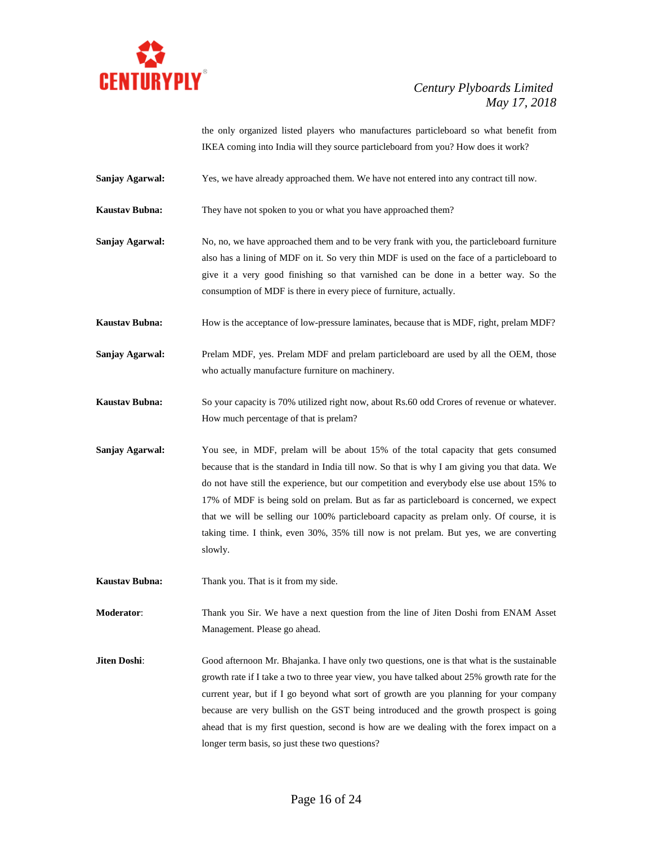

the only organized listed players who manufactures particleboard so what benefit from IKEA coming into India will they source particleboard from you? How does it work?

**Sanjay Agarwal:** Yes, we have already approached them. We have not entered into any contract till now.

**Kaustav Bubna:** They have not spoken to you or what you have approached them?

**Sanjay Agarwal:** No, no, we have approached them and to be very frank with you, the particleboard furniture also has a lining of MDF on it. So very thin MDF is used on the face of a particleboard to give it a very good finishing so that varnished can be done in a better way. So the consumption of MDF is there in every piece of furniture, actually.

**Kaustav Bubna:** How is the acceptance of low-pressure laminates, because that is MDF, right, prelam MDF?

**Sanjay Agarwal:** Prelam MDF, yes. Prelam MDF and prelam particleboard are used by all the OEM, those who actually manufacture furniture on machinery.

**Kaustav Bubna:** So your capacity is 70% utilized right now, about Rs.60 odd Crores of revenue or whatever. How much percentage of that is prelam?

**Sanjay Agarwal:** You see, in MDF, prelam will be about 15% of the total capacity that gets consumed because that is the standard in India till now. So that is why I am giving you that data. We do not have still the experience, but our competition and everybody else use about 15% to 17% of MDF is being sold on prelam. But as far as particleboard is concerned, we expect that we will be selling our 100% particleboard capacity as prelam only. Of course, it is taking time. I think, even 30%, 35% till now is not prelam. But yes, we are converting slowly.

**Kaustav Bubna:** Thank you. That is it from my side.

**Moderator**: Thank you Sir. We have a next question from the line of Jiten Doshi from ENAM Asset Management. Please go ahead.

**Jiten Doshi**: Good afternoon Mr. Bhajanka. I have only two questions, one is that what is the sustainable growth rate if I take a two to three year view, you have talked about 25% growth rate for the current year, but if I go beyond what sort of growth are you planning for your company because are very bullish on the GST being introduced and the growth prospect is going ahead that is my first question, second is how are we dealing with the forex impact on a longer term basis, so just these two questions?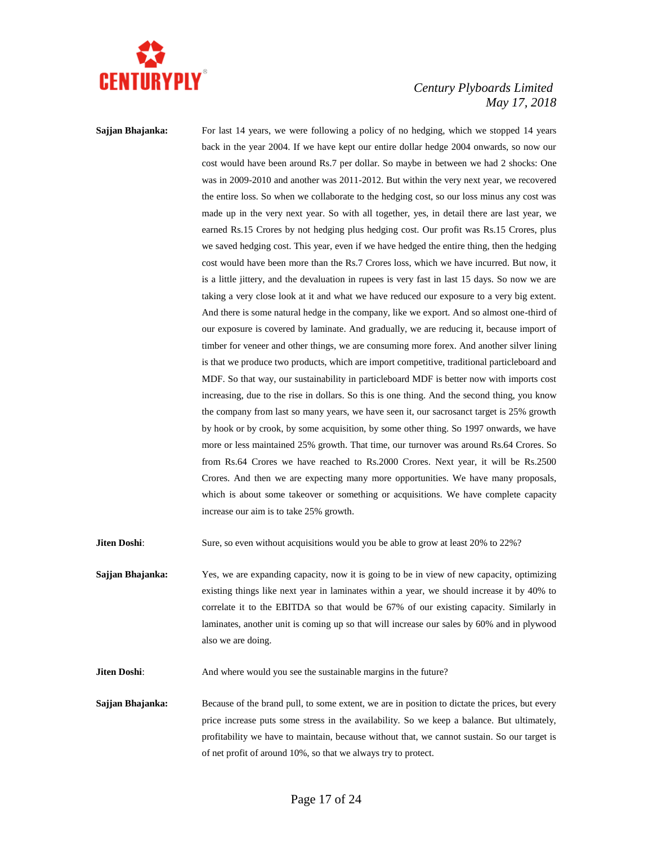

**Sajjan Bhajanka:** For last 14 years, we were following a policy of no hedging, which we stopped 14 years back in the year 2004. If we have kept our entire dollar hedge 2004 onwards, so now our cost would have been around Rs.7 per dollar. So maybe in between we had 2 shocks: One was in 2009-2010 and another was 2011-2012. But within the very next year, we recovered the entire loss. So when we collaborate to the hedging cost, so our loss minus any cost was made up in the very next year. So with all together, yes, in detail there are last year, we earned Rs.15 Crores by not hedging plus hedging cost. Our profit was Rs.15 Crores, plus we saved hedging cost. This year, even if we have hedged the entire thing, then the hedging cost would have been more than the Rs.7 Crores loss, which we have incurred. But now, it is a little jittery, and the devaluation in rupees is very fast in last 15 days. So now we are taking a very close look at it and what we have reduced our exposure to a very big extent. And there is some natural hedge in the company, like we export. And so almost one-third of our exposure is covered by laminate. And gradually, we are reducing it, because import of timber for veneer and other things, we are consuming more forex. And another silver lining is that we produce two products, which are import competitive, traditional particleboard and MDF. So that way, our sustainability in particleboard MDF is better now with imports cost increasing, due to the rise in dollars. So this is one thing. And the second thing, you know the company from last so many years, we have seen it, our sacrosanct target is 25% growth by hook or by crook, by some acquisition, by some other thing. So 1997 onwards, we have more or less maintained 25% growth. That time, our turnover was around Rs.64 Crores. So from Rs.64 Crores we have reached to Rs.2000 Crores. Next year, it will be Rs.2500 Crores. And then we are expecting many more opportunities. We have many proposals, which is about some takeover or something or acquisitions. We have complete capacity increase our aim is to take 25% growth.

**Jiten Doshi:** Sure, so even without acquisitions would you be able to grow at least 20% to 22%?

**Sajjan Bhajanka:** Yes, we are expanding capacity, now it is going to be in view of new capacity, optimizing existing things like next year in laminates within a year, we should increase it by 40% to correlate it to the EBITDA so that would be 67% of our existing capacity. Similarly in laminates, another unit is coming up so that will increase our sales by 60% and in plywood also we are doing.

**Jiten Doshi:** And where would you see the sustainable margins in the future?

**Sajjan Bhajanka:** Because of the brand pull, to some extent, we are in position to dictate the prices, but every price increase puts some stress in the availability. So we keep a balance. But ultimately, profitability we have to maintain, because without that, we cannot sustain. So our target is of net profit of around 10%, so that we always try to protect.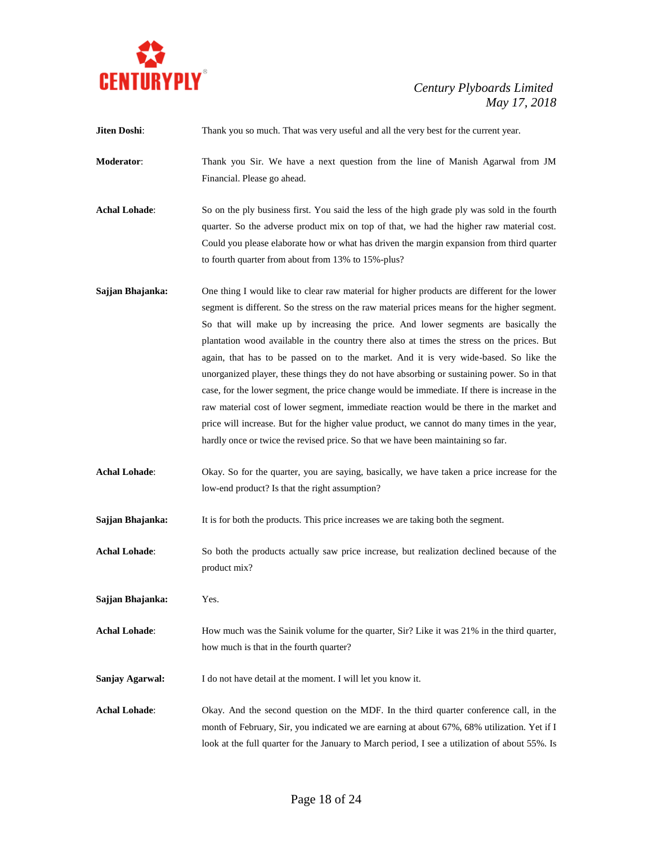

| Jiten Doshi:         | Thank you so much. That was very useful and all the very best for the current year.                                                                                                                                                                                                                                                                                                                                                                                                                                                                                                                                                                                                                                                                                                                                                                                                                                                                     |
|----------------------|---------------------------------------------------------------------------------------------------------------------------------------------------------------------------------------------------------------------------------------------------------------------------------------------------------------------------------------------------------------------------------------------------------------------------------------------------------------------------------------------------------------------------------------------------------------------------------------------------------------------------------------------------------------------------------------------------------------------------------------------------------------------------------------------------------------------------------------------------------------------------------------------------------------------------------------------------------|
| Moderator:           | Thank you Sir. We have a next question from the line of Manish Agarwal from JM<br>Financial. Please go ahead.                                                                                                                                                                                                                                                                                                                                                                                                                                                                                                                                                                                                                                                                                                                                                                                                                                           |
| <b>Achal Lohade:</b> | So on the ply business first. You said the less of the high grade ply was sold in the fourth<br>quarter. So the adverse product mix on top of that, we had the higher raw material cost.<br>Could you please elaborate how or what has driven the margin expansion from third quarter<br>to fourth quarter from about from 13% to 15%-plus?                                                                                                                                                                                                                                                                                                                                                                                                                                                                                                                                                                                                             |
| Sajjan Bhajanka:     | One thing I would like to clear raw material for higher products are different for the lower<br>segment is different. So the stress on the raw material prices means for the higher segment.<br>So that will make up by increasing the price. And lower segments are basically the<br>plantation wood available in the country there also at times the stress on the prices. But<br>again, that has to be passed on to the market. And it is very wide-based. So like the<br>unorganized player, these things they do not have absorbing or sustaining power. So in that<br>case, for the lower segment, the price change would be immediate. If there is increase in the<br>raw material cost of lower segment, immediate reaction would be there in the market and<br>price will increase. But for the higher value product, we cannot do many times in the year,<br>hardly once or twice the revised price. So that we have been maintaining so far. |
| <b>Achal Lohade:</b> | Okay. So for the quarter, you are saying, basically, we have taken a price increase for the<br>low-end product? Is that the right assumption?                                                                                                                                                                                                                                                                                                                                                                                                                                                                                                                                                                                                                                                                                                                                                                                                           |
| Sajjan Bhajanka:     | It is for both the products. This price increases we are taking both the segment.                                                                                                                                                                                                                                                                                                                                                                                                                                                                                                                                                                                                                                                                                                                                                                                                                                                                       |
| <b>Achal Lohade:</b> | So both the products actually saw price increase, but realization declined because of the<br>product mix?                                                                                                                                                                                                                                                                                                                                                                                                                                                                                                                                                                                                                                                                                                                                                                                                                                               |
| Sajjan Bhajanka:     | Yes.                                                                                                                                                                                                                                                                                                                                                                                                                                                                                                                                                                                                                                                                                                                                                                                                                                                                                                                                                    |
| <b>Achal Lohade:</b> | How much was the Sainik volume for the quarter, Sir? Like it was 21% in the third quarter,<br>how much is that in the fourth quarter?                                                                                                                                                                                                                                                                                                                                                                                                                                                                                                                                                                                                                                                                                                                                                                                                                   |
| Sanjay Agarwal:      | I do not have detail at the moment. I will let you know it.                                                                                                                                                                                                                                                                                                                                                                                                                                                                                                                                                                                                                                                                                                                                                                                                                                                                                             |
| <b>Achal Lohade:</b> | Okay. And the second question on the MDF. In the third quarter conference call, in the<br>month of February, Sir, you indicated we are earning at about 67%, 68% utilization. Yet if I<br>look at the full quarter for the January to March period, I see a utilization of about 55%. Is                                                                                                                                                                                                                                                                                                                                                                                                                                                                                                                                                                                                                                                                |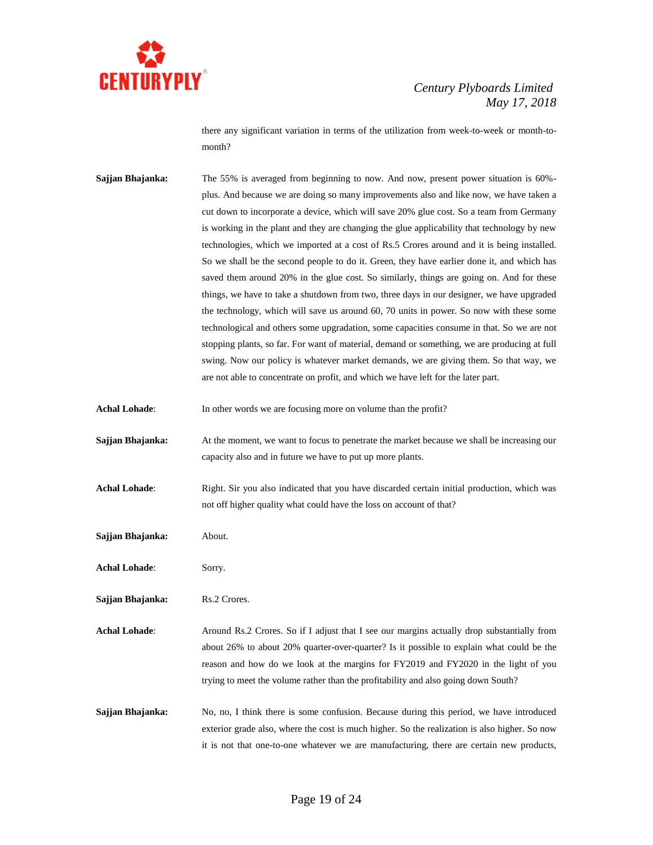

there any significant variation in terms of the utilization from week-to-week or month-tomonth?

**Sajjan Bhajanka:** The 55% is averaged from beginning to now. And now, present power situation is 60%plus. And because we are doing so many improvements also and like now, we have taken a cut down to incorporate a device, which will save 20% glue cost. So a team from Germany is working in the plant and they are changing the glue applicability that technology by new technologies, which we imported at a cost of Rs.5 Crores around and it is being installed. So we shall be the second people to do it. Green, they have earlier done it, and which has saved them around 20% in the glue cost. So similarly, things are going on. And for these things, we have to take a shutdown from two, three days in our designer, we have upgraded the technology, which will save us around 60, 70 units in power. So now with these some technological and others some upgradation, some capacities consume in that. So we are not stopping plants, so far. For want of material, demand or something, we are producing at full swing. Now our policy is whatever market demands, we are giving them. So that way, we are not able to concentrate on profit, and which we have left for the later part.

Achal Lohade: In other words we are focusing more on volume than the profit?

**Sajjan Bhajanka:** At the moment, we want to focus to penetrate the market because we shall be increasing our capacity also and in future we have to put up more plants.

Achal Lohade: Right. Sir you also indicated that you have discarded certain initial production, which was not off higher quality what could have the loss on account of that?

**Sajjan Bhajanka:** About.

**Achal Lohade**: Sorry.

**Sajjan Bhajanka:** Rs.2 Crores.

**Achal Lohade:** Around Rs.2 Crores. So if I adjust that I see our margins actually drop substantially from about 26% to about 20% quarter-over-quarter? Is it possible to explain what could be the reason and how do we look at the margins for FY2019 and FY2020 in the light of you trying to meet the volume rather than the profitability and also going down South?

**Sajjan Bhajanka:** No, no, I think there is some confusion. Because during this period, we have introduced exterior grade also, where the cost is much higher. So the realization is also higher. So now it is not that one-to-one whatever we are manufacturing, there are certain new products,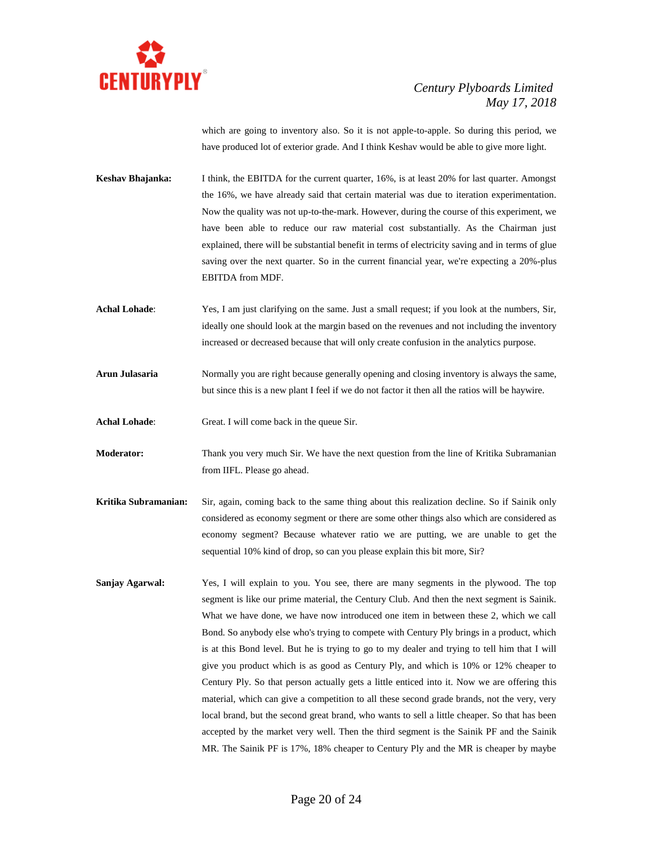

which are going to inventory also. So it is not apple-to-apple. So during this period, we have produced lot of exterior grade. And I think Keshav would be able to give more light.

**Keshav Bhajanka:** I think, the EBITDA for the current quarter, 16%, is at least 20% for last quarter. Amongst the 16%, we have already said that certain material was due to iteration experimentation. Now the quality was not up-to-the-mark. However, during the course of this experiment, we have been able to reduce our raw material cost substantially. As the Chairman just explained, there will be substantial benefit in terms of electricity saving and in terms of glue saving over the next quarter. So in the current financial year, we're expecting a 20%-plus EBITDA from MDF.

- **Achal Lohade**: Yes, I am just clarifying on the same. Just a small request; if you look at the numbers, Sir, ideally one should look at the margin based on the revenues and not including the inventory increased or decreased because that will only create confusion in the analytics purpose.
- Arun Julasaria Normally you are right because generally opening and closing inventory is always the same, but since this is a new plant I feel if we do not factor it then all the ratios will be haywire.
- **Achal Lohade**: Great. I will come back in the queue Sir.
- **Moderator:** Thank you very much Sir. We have the next question from the line of Kritika Subramanian from IIFL. Please go ahead.
- **Kritika Subramanian:** Sir, again, coming back to the same thing about this realization decline. So if Sainik only considered as economy segment or there are some other things also which are considered as economy segment? Because whatever ratio we are putting, we are unable to get the sequential 10% kind of drop, so can you please explain this bit more, Sir?
- **Sanjay Agarwal:** Yes, I will explain to you. You see, there are many segments in the plywood. The top segment is like our prime material, the Century Club. And then the next segment is Sainik. What we have done, we have now introduced one item in between these 2, which we call Bond. So anybody else who's trying to compete with Century Ply brings in a product, which is at this Bond level. But he is trying to go to my dealer and trying to tell him that I will give you product which is as good as Century Ply, and which is 10% or 12% cheaper to Century Ply. So that person actually gets a little enticed into it. Now we are offering this material, which can give a competition to all these second grade brands, not the very, very local brand, but the second great brand, who wants to sell a little cheaper. So that has been accepted by the market very well. Then the third segment is the Sainik PF and the Sainik MR. The Sainik PF is 17%, 18% cheaper to Century Ply and the MR is cheaper by maybe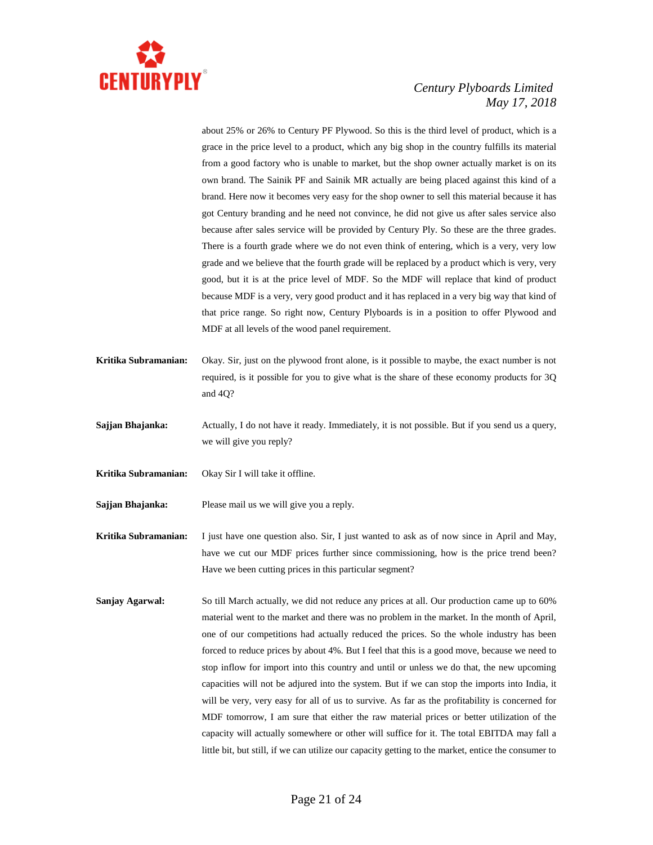

about 25% or 26% to Century PF Plywood. So this is the third level of product, which is a grace in the price level to a product, which any big shop in the country fulfills its material from a good factory who is unable to market, but the shop owner actually market is on its own brand. The Sainik PF and Sainik MR actually are being placed against this kind of a brand. Here now it becomes very easy for the shop owner to sell this material because it has got Century branding and he need not convince, he did not give us after sales service also because after sales service will be provided by Century Ply. So these are the three grades. There is a fourth grade where we do not even think of entering, which is a very, very low grade and we believe that the fourth grade will be replaced by a product which is very, very good, but it is at the price level of MDF. So the MDF will replace that kind of product because MDF is a very, very good product and it has replaced in a very big way that kind of that price range. So right now, Century Plyboards is in a position to offer Plywood and MDF at all levels of the wood panel requirement.

- **Kritika Subramanian:** Okay. Sir, just on the plywood front alone, is it possible to maybe, the exact number is not required, is it possible for you to give what is the share of these economy products for 3Q and 4Q?
- **Sajjan Bhajanka:** Actually, I do not have it ready. Immediately, it is not possible. But if you send us a query, we will give you reply?
- **Kritika Subramanian:** Okay Sir I will take it offline.
- **Sajjan Bhajanka:** Please mail us we will give you a reply.

**Kritika Subramanian:** I just have one question also. Sir, I just wanted to ask as of now since in April and May, have we cut our MDF prices further since commissioning, how is the price trend been? Have we been cutting prices in this particular segment?

**Sanjay Agarwal:** So till March actually, we did not reduce any prices at all. Our production came up to 60% material went to the market and there was no problem in the market. In the month of April, one of our competitions had actually reduced the prices. So the whole industry has been forced to reduce prices by about 4%. But I feel that this is a good move, because we need to stop inflow for import into this country and until or unless we do that, the new upcoming capacities will not be adjured into the system. But if we can stop the imports into India, it will be very, very easy for all of us to survive. As far as the profitability is concerned for MDF tomorrow, I am sure that either the raw material prices or better utilization of the capacity will actually somewhere or other will suffice for it. The total EBITDA may fall a little bit, but still, if we can utilize our capacity getting to the market, entice the consumer to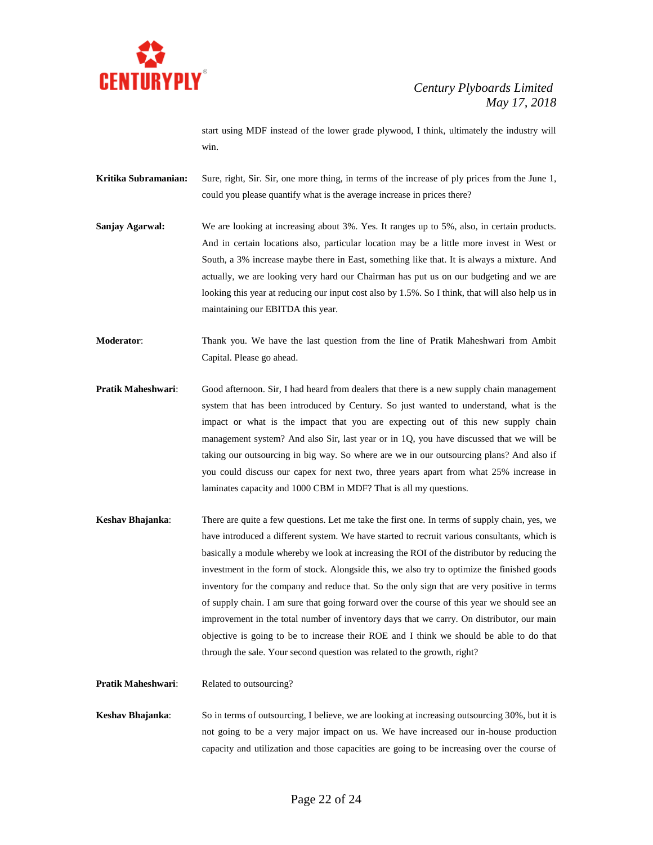

start using MDF instead of the lower grade plywood, I think, ultimately the industry will win.

**Kritika Subramanian:** Sure, right, Sir. Sir, one more thing, in terms of the increase of ply prices from the June 1, could you please quantify what is the average increase in prices there?

**Sanjay Agarwal:** We are looking at increasing about 3%. Yes. It ranges up to 5%, also, in certain products. And in certain locations also, particular location may be a little more invest in West or South, a 3% increase maybe there in East, something like that. It is always a mixture. And actually, we are looking very hard our Chairman has put us on our budgeting and we are looking this year at reducing our input cost also by 1.5%. So I think, that will also help us in maintaining our EBITDA this year.

**Moderator**: Thank you. We have the last question from the line of Pratik Maheshwari from Ambit Capital. Please go ahead.

- **Pratik Maheshwari:** Good afternoon. Sir, I had heard from dealers that there is a new supply chain management system that has been introduced by Century. So just wanted to understand, what is the impact or what is the impact that you are expecting out of this new supply chain management system? And also Sir, last year or in 1Q, you have discussed that we will be taking our outsourcing in big way. So where are we in our outsourcing plans? And also if you could discuss our capex for next two, three years apart from what 25% increase in laminates capacity and 1000 CBM in MDF? That is all my questions.
- **Keshav Bhajanka**: There are quite a few questions. Let me take the first one. In terms of supply chain, yes, we have introduced a different system. We have started to recruit various consultants, which is basically a module whereby we look at increasing the ROI of the distributor by reducing the investment in the form of stock. Alongside this, we also try to optimize the finished goods inventory for the company and reduce that. So the only sign that are very positive in terms of supply chain. I am sure that going forward over the course of this year we should see an improvement in the total number of inventory days that we carry. On distributor, our main objective is going to be to increase their ROE and I think we should be able to do that through the sale. Your second question was related to the growth, right?

**Pratik Maheshwari:** Related to outsourcing?

**Keshav Bhajanka**: So in terms of outsourcing, I believe, we are looking at increasing outsourcing 30%, but it is not going to be a very major impact on us. We have increased our in-house production capacity and utilization and those capacities are going to be increasing over the course of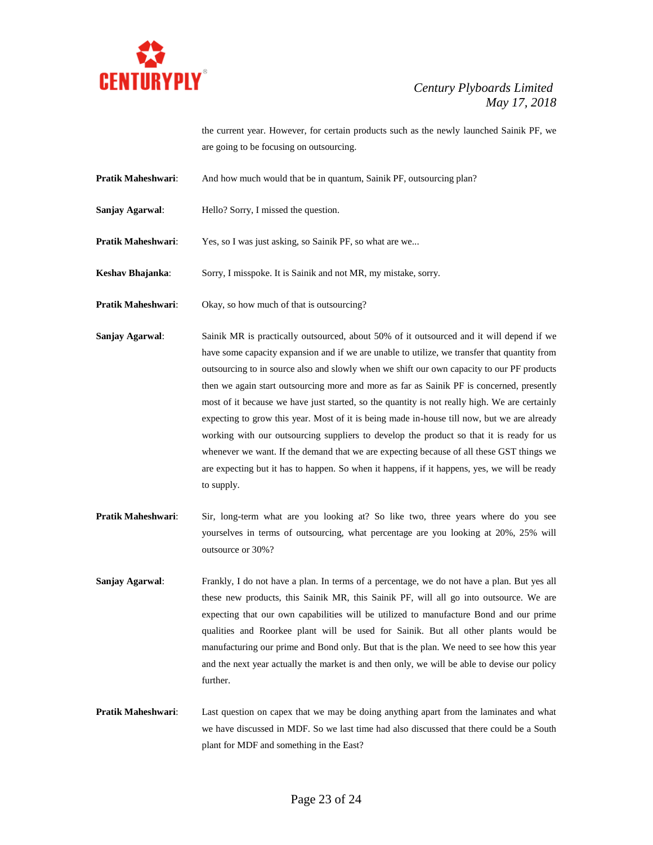

the current year. However, for certain products such as the newly launched Sainik PF, we are going to be focusing on outsourcing.

**Pratik Maheshwari:** And how much would that be in quantum, Sainik PF, outsourcing plan?

**Sanjay Agarwal:** Hello? Sorry, I missed the question.

Pratik Maheshwari: Yes, so I was just asking, so Sainik PF, so what are we...

**Keshav Bhajanka**: Sorry, I misspoke. It is Sainik and not MR, my mistake, sorry.

**Pratik Maheshwari:** Okay, so how much of that is outsourcing?

**Sanjay Agarwal:** Sainik MR is practically outsourced, about 50% of it outsourced and it will depend if we have some capacity expansion and if we are unable to utilize, we transfer that quantity from outsourcing to in source also and slowly when we shift our own capacity to our PF products then we again start outsourcing more and more as far as Sainik PF is concerned, presently most of it because we have just started, so the quantity is not really high. We are certainly expecting to grow this year. Most of it is being made in-house till now, but we are already working with our outsourcing suppliers to develop the product so that it is ready for us whenever we want. If the demand that we are expecting because of all these GST things we are expecting but it has to happen. So when it happens, if it happens, yes, we will be ready to supply.

- **Pratik Maheshwari**: Sir, long-term what are you looking at? So like two, three years where do you see yourselves in terms of outsourcing, what percentage are you looking at 20%, 25% will outsource or 30%?
- **Sanjay Agarwal:** Frankly, I do not have a plan. In terms of a percentage, we do not have a plan. But yes all these new products, this Sainik MR, this Sainik PF, will all go into outsource. We are expecting that our own capabilities will be utilized to manufacture Bond and our prime qualities and Roorkee plant will be used for Sainik. But all other plants would be manufacturing our prime and Bond only. But that is the plan. We need to see how this year and the next year actually the market is and then only, we will be able to devise our policy further.
- **Pratik Maheshwari:** Last question on capex that we may be doing anything apart from the laminates and what we have discussed in MDF. So we last time had also discussed that there could be a South plant for MDF and something in the East?